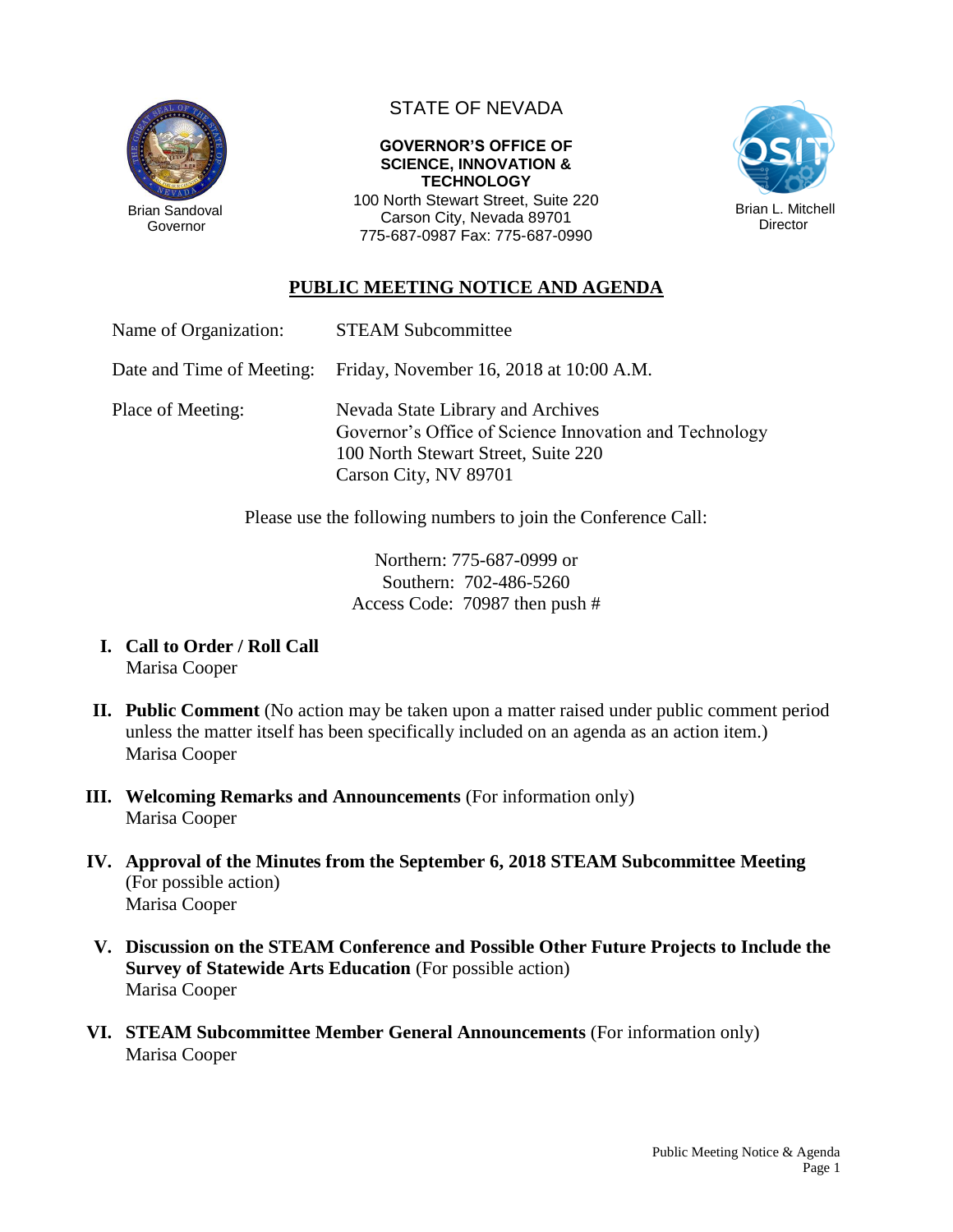

STATE OF NEVADA

#### **GOVERNOR'S OFFICE OF SCIENCE, INNOVATION & TECHNOLOGY**

100 North Stewart Street, Suite 220 Carson City, Nevada 89701 775-687-0987 Fax: 775-687-0990



# **PUBLIC MEETING NOTICE AND AGENDA**

| Name of Organization: | <b>STEAM Subcommittee</b> |
|-----------------------|---------------------------|
|-----------------------|---------------------------|

Date and Time of Meeting: Friday, November 16, 2018 at 10:00 A.M.

Place of Meeting: Nevada State Library and Archives Governor's Office of Science Innovation and Technology 100 North Stewart Street, Suite 220 Carson City, NV 89701

Please use the following numbers to join the Conference Call:

Northern: 775-687-0999 or Southern: 702-486-5260 Access Code: 70987 then push #

- **I. Call to Order / Roll Call** Marisa Cooper
- **II. Public Comment** (No action may be taken upon a matter raised under public comment period unless the matter itself has been specifically included on an agenda as an action item.) Marisa Cooper
- **III. Welcoming Remarks and Announcements** (For information only) Marisa Cooper
- **IV. Approval of the Minutes from the September 6, 2018 STEAM Subcommittee Meeting** (For possible action) Marisa Cooper
- **V. Discussion on the STEAM Conference and Possible Other Future Projects to Include the Survey of Statewide Arts Education** (For possible action) Marisa Cooper
- **VI. STEAM Subcommittee Member General Announcements** (For information only) Marisa Cooper